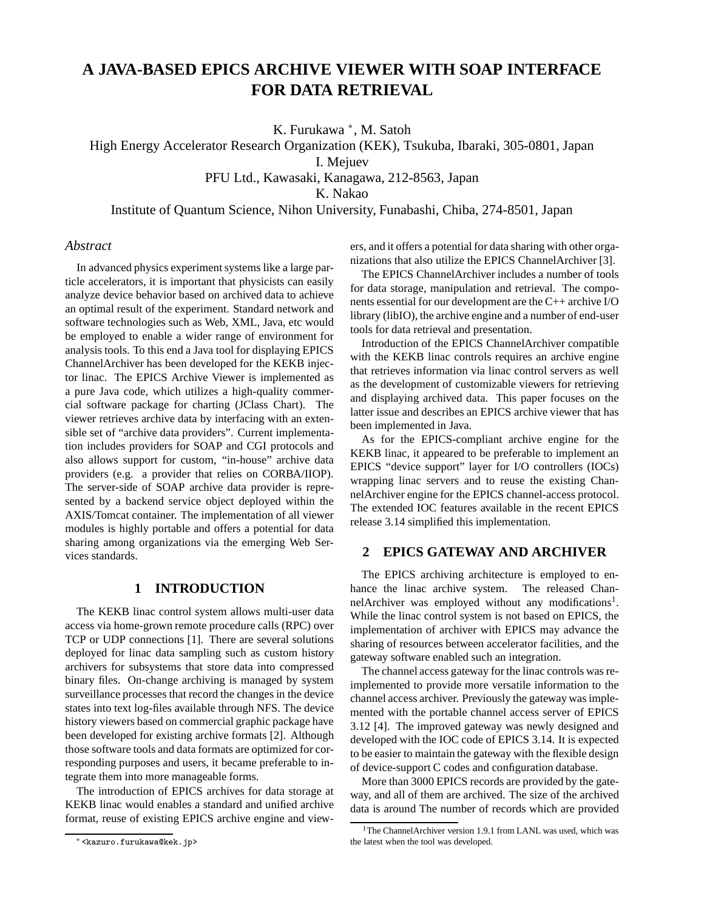# **A JAVA-BASED EPICS ARCHIVE VIEWER WITH SOAP INTERFACE FOR DATA RETRIEVAL**

K. Furukawa ∗ , M. Satoh

High Energy Accelerator Research Organization (KEK), Tsukuba, Ibaraki, 305-0801, Japan I. Mejuev

PFU Ltd., Kawasaki, Kanagawa, 212-8563, Japan

K. Nakao

Institute of Quantum Science, Nihon University, Funabashi, Chiba, 274-8501, Japan

### *Abstract*

In advanced physics experiment systems like a large particle accelerators, it is important that physicists can easily analyze device behavior based on archived data to achieve an optimal result of the experiment. Standard network and software technologies such as Web, XML, Java, etc would be employed to enable a wider range of environment for analysis tools. To this end a Java tool for displaying EPICS ChannelArchiver has been developed for the KEKB injector linac. The EPICS Archive Viewer is implemented as a pure Java code, which utilizes a high-quality commercial software package for charting (JClass Chart). The viewer retrieves archive data by interfacing with an extensible set of "archive data providers". Current implementation includes providers for SOAP and CGI protocols and also allows support for custom, "in-house" archive data providers (e.g. a provider that relies on CORBA/IIOP). The server-side of SOAP archive data provider is represented by a backend service object deployed within the AXIS/Tomcat container. The implementation of all viewer modules is highly portable and offers a potential for data sharing among organizations via the emerging Web Services standards.

## **1 INTRODUCTION**

The KEKB linac control system allows multi-user data access via home-grown remote procedure calls (RPC) over TCP or UDP connections [1]. There are several solutions deployed for linac data sampling such as custom history archivers for subsystems that store data into compressed binary files. On-change archiving is managed by system surveillance processes that record the changes in the device states into text log-files available through NFS. The device history viewers based on commercial graphic package have been developed for existing archive formats [2]. Although those software tools and data formats are optimized for corresponding purposes and users, it became preferable to integrate them into more manageable forms.

The introduction of EPICS archives for data storage at KEKB linac would enables a standard and unified archive format, reuse of existing EPICS archive engine and viewers, and it offers a potential for data sharing with other organizations that also utilize the EPICS ChannelArchiver [3].

The EPICS ChannelArchiver includes a number of tools for data storage, manipulation and retrieval. The components essential for our development are the C++ archive I/O library (libIO), the archive engine and a number of end-user tools for data retrieval and presentation.

Introduction of the EPICS ChannelArchiver compatible with the KEKB linac controls requires an archive engine that retrieves information via linac control servers as well as the development of customizable viewers for retrieving and displaying archived data. This paper focuses on the latter issue and describes an EPICS archive viewer that has been implemented in Java.

As for the EPICS-compliant archive engine for the KEKB linac, it appeared to be preferable to implement an EPICS "device support" layer for I/O controllers (IOCs) wrapping linac servers and to reuse the existing ChannelArchiver engine for the EPICS channel-access protocol. The extended IOC features available in the recent EPICS release 3.14 simplified this implementation.

## **2 EPICS GATEWAY AND ARCHIVER**

The EPICS archiving architecture is employed to enhance the linac archive system. The released ChannelArchiver was employed without any modifications<sup>1</sup>. While the linac control system is not based on EPICS, the implementation of archiver with EPICS may advance the sharing of resources between accelerator facilities, and the gateway software enabled such an integration.

The channel access gateway for the linac controls was reimplemented to provide more versatile information to the channel access archiver. Previously the gateway was implemented with the portable channel access server of EPICS 3.12 [4]. The improved gateway was newly designed and developed with the IOC code of EPICS 3.14. It is expected to be easier to maintain the gateway with the flexible design of device-support C codes and configuration database.

More than 3000 EPICS records are provided by the gateway, and all of them are archived. The size of the archived data is around The number of records which are provided

<sup>∗</sup> <kazuro.furukawa@kek.jp>

<sup>&</sup>lt;sup>1</sup>The ChannelArchiver version 1.9.1 from LANL was used, which was the latest when the tool was developed.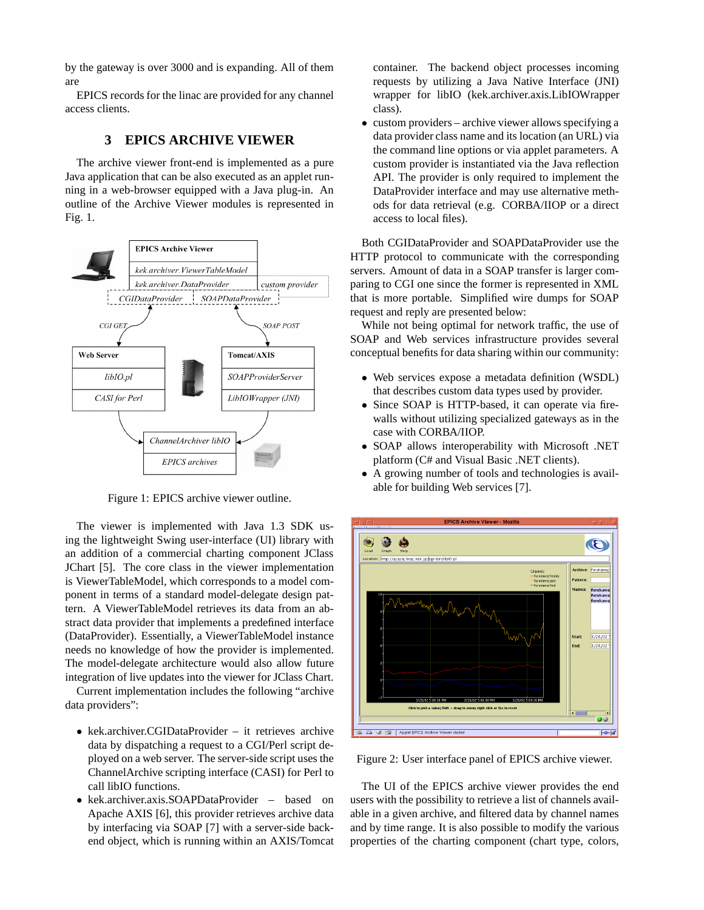by the gateway is over 3000 and is expanding. All of them are

EPICS records for the linac are provided for any channel access clients.

### **3 EPICS ARCHIVE VIEWER**

The archive viewer front-end is implemented as a pure Java application that can be also executed as an applet running in a web-browser equipped with a Java plug-in. An outline of the Archive Viewer modules is represented in Fig. 1.



Figure 1: EPICS archive viewer outline.

The viewer is implemented with Java 1.3 SDK using the lightweight Swing user-interface (UI) library with an addition of a commercial charting component JClass JChart [5]. The core class in the viewer implementation is ViewerTableModel, which corresponds to a model component in terms of a standard model-delegate design pattern. A ViewerTableModel retrieves its data from an abstract data provider that implements a predefined interface (DataProvider). Essentially, a ViewerTableModel instance needs no knowledge of how the provider is implemented. The model-delegate architecture would also allow future integration of live updates into the viewer for JClass Chart.

Current implementation includes the following "archive data providers":

- kek.archiver.CGIDataProvider it retrieves archive data by dispatching a request to a CGI/Perl script deployed on a web server. The server-side script uses the ChannelArchive scripting interface (CASI) for Perl to call libIO functions.
- kek.archiver.axis.SOAPDataProvider based on Apache AXIS [6], this provider retrieves archive data by interfacing via SOAP [7] with a server-side backend object, which is running within an AXIS/Tomcat

container. The backend object processes incoming requests by utilizing a Java Native Interface (JNI) wrapper for libIO (kek.archiver.axis.LibIOWrapper class).

• custom providers – archive viewer allows specifying a data provider class name and its location (an URL) via the command line options or via applet parameters. A custom provider is instantiated via the Java reflection API. The provider is only required to implement the DataProvider interface and may use alternative methods for data retrieval (e.g. CORBA/IIOP or a direct access to local files).

Both CGIDataProvider and SOAPDataProvider use the HTTP protocol to communicate with the corresponding servers. Amount of data in a SOAP transfer is larger comparing to CGI one since the former is represented in XML that is more portable. Simplified wire dumps for SOAP request and reply are presented below:

While not being optimal for network traffic, the use of SOAP and Web services infrastructure provides several conceptual benefits for data sharing within our community:

- Web services expose a metadata definition (WSDL) that describes custom data types used by provider.
- Since SOAP is HTTP-based, it can operate via firewalls without utilizing specialized gateways as in the case with CORBA/IIOP.
- SOAP allows interoperability with Microsoft .NET platform (C# and Visual Basic .NET clients).
- A growing number of tools and technologies is available for building Web services [7].



Figure 2: User interface panel of EPICS archive viewer.

The UI of the EPICS archive viewer provides the end users with the possibility to retrieve a list of channels available in a given archive, and filtered data by channel names and by time range. It is also possible to modify the various properties of the charting component (chart type, colors,